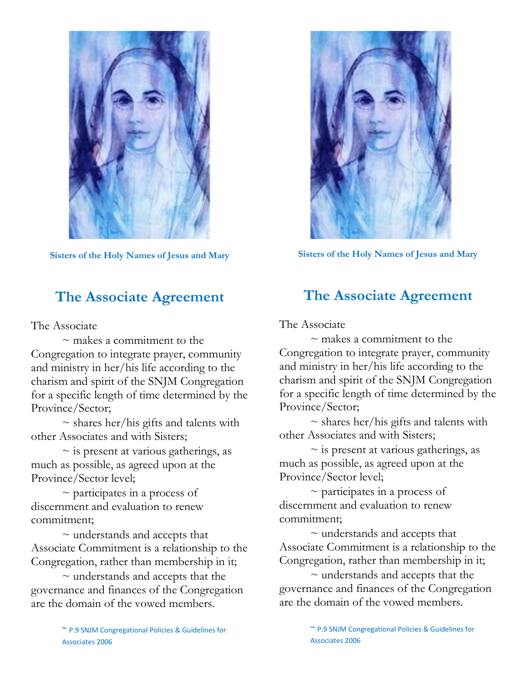

**Sisters of the Holy Names of Jesus and Mary**

# **The Associate Agreement**

The Associate

 $\sim$  makes a commitment to the Congregation to integrate prayer, community and ministry in her/his life according to the charism and spirit of the SNJM Congregation for a specific length of time determined by the Province/Sector;

 $\sim$  shares her/his gifts and talents with other Associates and with Sisters;

 $\sim$  is present at various gatherings, as much as possible, as agreed upon at the Province/Sector level;

 $\sim$  participates in a process of discernment and evaluation to renew commitment;

 $\sim$  understands and accepts that Associate Commitment is a relationship to the Congregation, rather than membership in it;

 $\sim$  understands and accepts that the governance and finances of the Congregation are the domain of the vowed members.



**Sisters of the Holy Names of Jesus and Mary**

## **The Associate Agreement**

The Associate

 $\sim$  makes a commitment to the Congregation to integrate prayer, community and ministry in her/his life according to the charism and spirit of the SNJM Congregation for a specific length of time determined by the Province/Sector;

 $\sim$  shares her/his gifts and talents with other Associates and with Sisters;

 $\sim$  is present at various gatherings, as much as possible, as agreed upon at the Province/Sector level;

 $\sim$  participates in a process of discernment and evaluation to renew commitment;

 $\sim$  understands and accepts that Associate Commitment is a relationship to the Congregation, rather than membership in it;

 $\sim$  understands and accepts that the governance and finances of the Congregation are the domain of the vowed members.